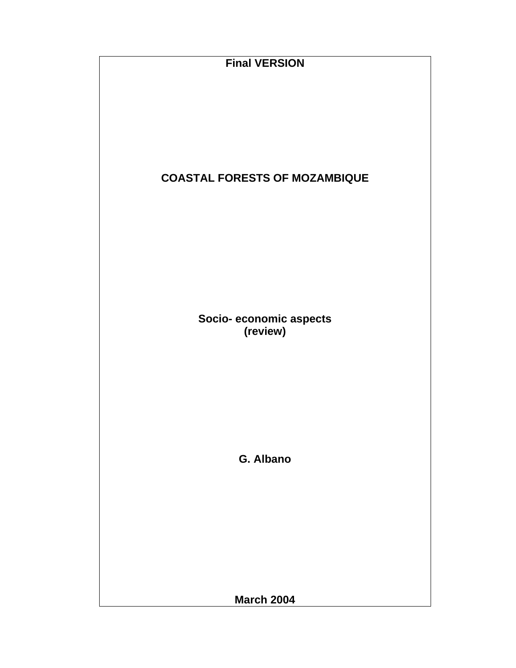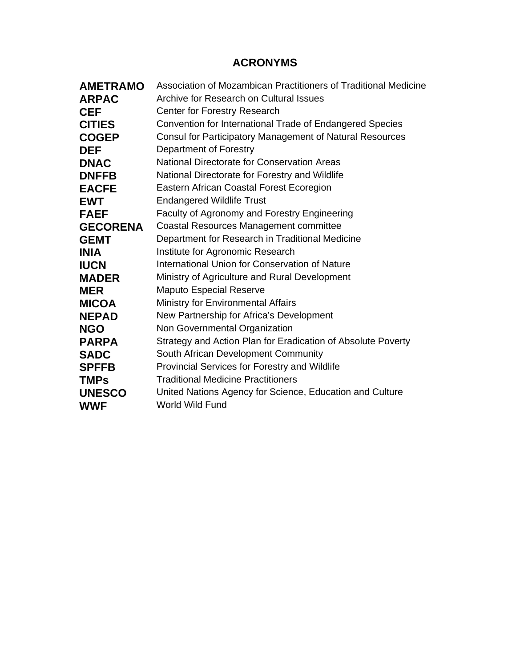# **ACRONYMS**

| <b>AMETRAMO</b> | Association of Mozambican Practitioners of Traditional Medicine |  |  |  |  |
|-----------------|-----------------------------------------------------------------|--|--|--|--|
| <b>ARPAC</b>    | Archive for Research on Cultural Issues                         |  |  |  |  |
| <b>CEF</b>      | Center for Forestry Research                                    |  |  |  |  |
| <b>CITIES</b>   | Convention for International Trade of Endangered Species        |  |  |  |  |
| <b>COGEP</b>    | <b>Consul for Participatory Management of Natural Resources</b> |  |  |  |  |
| <b>DEF</b>      | Department of Forestry                                          |  |  |  |  |
| <b>DNAC</b>     | <b>National Directorate for Conservation Areas</b>              |  |  |  |  |
| <b>DNFFB</b>    | National Directorate for Forestry and Wildlife                  |  |  |  |  |
| <b>EACFE</b>    | Eastern African Coastal Forest Ecoregion                        |  |  |  |  |
| <b>EWT</b>      | <b>Endangered Wildlife Trust</b>                                |  |  |  |  |
| <b>FAEF</b>     | Faculty of Agronomy and Forestry Engineering                    |  |  |  |  |
| <b>GECORENA</b> | <b>Coastal Resources Management committee</b>                   |  |  |  |  |
| <b>GEMT</b>     | Department for Research in Traditional Medicine                 |  |  |  |  |
| <b>INIA</b>     | Institute for Agronomic Research                                |  |  |  |  |
| <b>IUCN</b>     | International Union for Conservation of Nature                  |  |  |  |  |
| <b>MADER</b>    | Ministry of Agriculture and Rural Development                   |  |  |  |  |
| <b>MER</b>      | <b>Maputo Especial Reserve</b>                                  |  |  |  |  |
| <b>MICOA</b>    | <b>Ministry for Environmental Affairs</b>                       |  |  |  |  |
| <b>NEPAD</b>    | New Partnership for Africa's Development                        |  |  |  |  |
| <b>NGO</b>      | Non Governmental Organization                                   |  |  |  |  |
| <b>PARPA</b>    | Strategy and Action Plan for Eradication of Absolute Poverty    |  |  |  |  |
| <b>SADC</b>     | South African Development Community                             |  |  |  |  |
| <b>SPFFB</b>    | Provincial Services for Forestry and Wildlife                   |  |  |  |  |
| <b>TMPs</b>     | <b>Traditional Medicine Practitioners</b>                       |  |  |  |  |
| <b>UNESCO</b>   | United Nations Agency for Science, Education and Culture        |  |  |  |  |
| <b>WWF</b>      | World Wild Fund                                                 |  |  |  |  |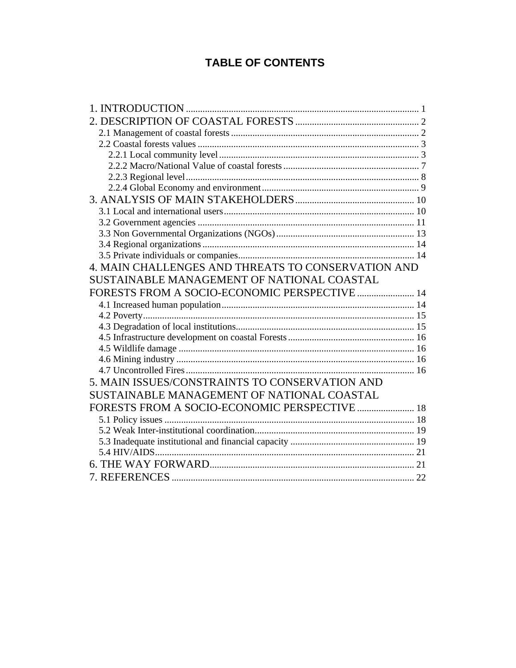# **TABLE OF CONTENTS**

| 4. MAIN CHALLENGES AND THREATS TO CONSERVATION AND |  |
|----------------------------------------------------|--|
| SUSTAINABLE MANAGEMENT OF NATIONAL COASTAL         |  |
| FORESTS FROM A SOCIO-ECONOMIC PERSPECTIVE  14      |  |
|                                                    |  |
|                                                    |  |
|                                                    |  |
|                                                    |  |
|                                                    |  |
|                                                    |  |
|                                                    |  |
|                                                    |  |
| 5. MAIN ISSUES/CONSTRAINTS TO CONSERVATION AND     |  |
| SUSTAINABLE MANAGEMENT OF NATIONAL COASTAL         |  |
|                                                    |  |
| FORESTS FROM A SOCIO-ECONOMIC PERSPECTIVE  18      |  |
|                                                    |  |
|                                                    |  |
|                                                    |  |
|                                                    |  |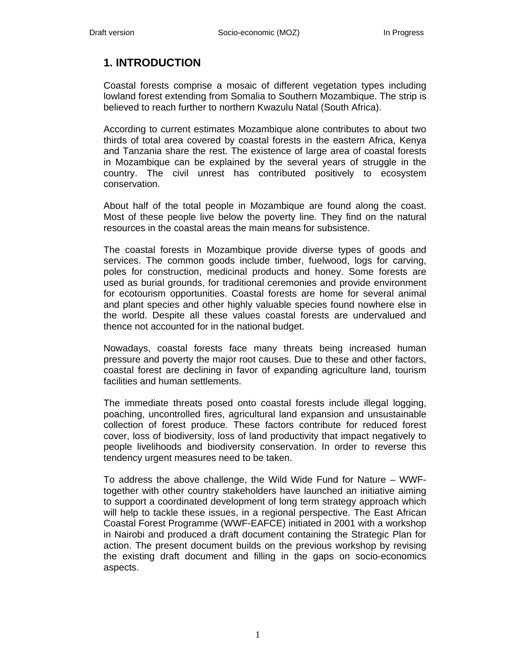# **1. INTRODUCTION**

Coastal forests comprise a mosaic of different vegetation types including lowland forest extending from Somalia to Southern Mozambique. The strip is believed to reach further to northern Kwazulu Natal (South Africa).

According to current estimates Mozambique alone contributes to about two thirds of total area covered by coastal forests in the eastern Africa, Kenya and Tanzania share the rest. The existence of large area of coastal forests in Mozambique can be explained by the several years of struggle in the country. The civil unrest has contributed positively to ecosystem conservation.

About half of the total people in Mozambique are found along the coast. Most of these people live below the poverty line. They find on the natural resources in the coastal areas the main means for subsistence.

The coastal forests in Mozambique provide diverse types of goods and services. The common goods include timber, fuelwood, logs for carving, poles for construction, medicinal products and honey. Some forests are used as burial grounds, for traditional ceremonies and provide environment for ecotourism opportunities. Coastal forests are home for several animal and plant species and other highly valuable species found nowhere else in the world. Despite all these values coastal forests are undervalued and thence not accounted for in the national budget.

Nowadays, coastal forests face many threats being increased human pressure and poverty the major root causes. Due to these and other factors, coastal forest are declining in favor of expanding agriculture land, tourism facilities and human settlements.

The immediate threats posed onto coastal forests include illegal logging, poaching, uncontrolled fires, agricultural land expansion and unsustainable collection of forest produce. These factors contribute for reduced forest cover, loss of biodiversity, loss of land productivity that impact negatively to people livelihoods and biodiversity conservation. In order to reverse this tendency urgent measures need to be taken.

To address the above challenge, the Wild Wide Fund for Nature – WWFtogether with other country stakeholders have launched an initiative aiming to support a coordinated development of long term strategy approach which will help to tackle these issues, in a regional perspective. The East African Coastal Forest Programme (WWF-EAFCE) initiated in 2001 with a workshop in Nairobi and produced a draft document containing the Strategic Plan for action. The present document builds on the previous workshop by revising the existing draft document and filling in the gaps on socio-economics aspects.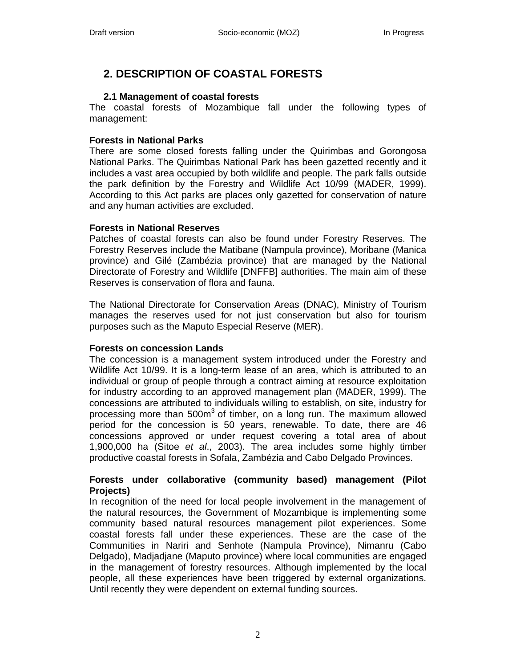# **2. DESCRIPTION OF COASTAL FORESTS**

# **2.1 Management of coastal forests**

The coastal forests of Mozambique fall under the following types of management:

# **Forests in National Parks**

There are some closed forests falling under the Quirimbas and Gorongosa National Parks. The Quirimbas National Park has been gazetted recently and it includes a vast area occupied by both wildlife and people. The park falls outside the park definition by the Forestry and Wildlife Act 10/99 (MADER, 1999). According to this Act parks are places only gazetted for conservation of nature and any human activities are excluded.

## **Forests in National Reserves**

Patches of coastal forests can also be found under Forestry Reserves. The Forestry Reserves include the Matibane (Nampula province), Moribane (Manica province) and Gilé (Zambézia province) that are managed by the National Directorate of Forestry and Wildlife [DNFFB] authorities. The main aim of these Reserves is conservation of flora and fauna.

The National Directorate for Conservation Areas (DNAC), Ministry of Tourism manages the reserves used for not just conservation but also for tourism purposes such as the Maputo Especial Reserve (MER).

## **Forests on concession Lands**

The concession is a management system introduced under the Forestry and Wildlife Act 10/99. It is a long-term lease of an area, which is attributed to an individual or group of people through a contract aiming at resource exploitation for industry according to an approved management plan (MADER, 1999). The concessions are attributed to individuals willing to establish, on site, industry for processing more than  $500m<sup>3</sup>$  of timber, on a long run. The maximum allowed period for the concession is 50 years, renewable. To date, there are 46 concessions approved or under request covering a total area of about 1,900,000 ha (Sitoe *et al*., 2003). The area includes some highly timber productive coastal forests in Sofala, Zambézia and Cabo Delgado Provinces.

## **Forests under collaborative (community based) management (Pilot Projects)**

In recognition of the need for local people involvement in the management of the natural resources, the Government of Mozambique is implementing some community based natural resources management pilot experiences. Some coastal forests fall under these experiences. These are the case of the Communities in Nariri and Senhote (Nampula Province), Nimanru (Cabo Delgado), Madjadjane (Maputo province) where local communities are engaged in the management of forestry resources. Although implemented by the local people, all these experiences have been triggered by external organizations. Until recently they were dependent on external funding sources.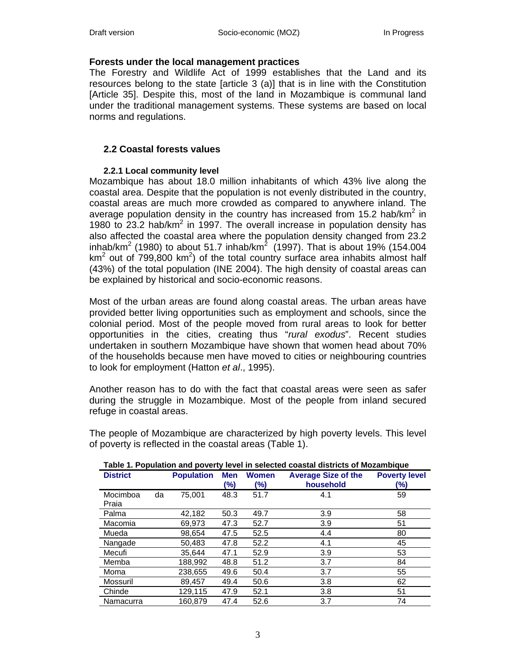## **Forests under the local management practices**

The Forestry and Wildlife Act of 1999 establishes that the Land and its resources belong to the state [article 3 (a)] that is in line with the Constitution [Article 35]. Despite this, most of the land in Mozambique is communal land under the traditional management systems. These systems are based on local norms and regulations.

# **2.2 Coastal forests values**

## **2.2.1 Local community level**

Mozambique has about 18.0 million inhabitants of which 43% live along the coastal area. Despite that the population is not evenly distributed in the country, coastal areas are much more crowded as compared to anywhere inland. The average population density in the country has increased from 15.2 hab/ $km^2$  in 1980 to  $23.2$  hab/km<sup>2</sup> in 1997. The overall increase in population density has also affected the coastal area where the population density changed from 23.2 inhab/km<sup>2</sup> (1980) to about 51.7 inhab/km<sup>2</sup> (1997). That is about 19% (154.004 km<sup>2</sup> out of  $799,800$  km<sup>2</sup>) of the total country surface area inhabits almost half (43%) of the total population (INE 2004). The high density of coastal areas can be explained by historical and socio-economic reasons.

Most of the urban areas are found along coastal areas. The urban areas have provided better living opportunities such as employment and schools, since the colonial period. Most of the people moved from rural areas to look for better opportunities in the cities, creating thus "*rural exodus*". Recent studies undertaken in southern Mozambique have shown that women head about 70% of the households because men have moved to cities or neighbouring countries to look for employment (Hatton *et al*., 1995).

Another reason has to do with the fact that coastal areas were seen as safer during the struggle in Mozambique. Most of the people from inland secured refuge in coastal areas.

| Table 1. Population and poverty level in selected coastal districts of Mozambique |    |                   |            |                     |                                         |                             |
|-----------------------------------------------------------------------------------|----|-------------------|------------|---------------------|-----------------------------------------|-----------------------------|
| <b>District</b>                                                                   |    | <b>Population</b> | Men<br>(%) | <b>Women</b><br>(%) | <b>Average Size of the</b><br>household | <b>Poverty level</b><br>(%) |
| Mocimboa<br>Praia                                                                 | da | 75.001            | 48.3       | 51.7                | 4.1                                     | 59                          |
| Palma                                                                             |    | 42,182            | 50.3       | 49.7                | 3.9                                     | 58                          |
| Macomia                                                                           |    | 69.973            | 47.3       | 52.7                | 3.9                                     | 51                          |
| Mueda                                                                             |    | 98,654            | 47.5       | 52.5                | 4.4                                     | 80                          |
| Nangade                                                                           |    | 50.483            | 47.8       | 52.2                | 4.1                                     | 45                          |
| Mecufi                                                                            |    | 35.644            | 47.1       | 52.9                | 3.9                                     | 53                          |
| Memba                                                                             |    | 188.992           | 48.8       | 51.2                | 3.7                                     | 84                          |
| Moma                                                                              |    | 238,655           | 49.6       | 50.4                | 3.7                                     | 55                          |
| Mossuril                                                                          |    | 89.457            | 49.4       | 50.6                | 3.8                                     | 62                          |
| Chinde                                                                            |    | 129.115           | 47.9       | 52.1                | 3.8                                     | 51                          |
| Namacurra                                                                         |    | 160.879           | 47.4       | 52.6                | 3.7                                     | 74                          |

The people of Mozambique are characterized by high poverty levels. This level of poverty is reflected in the coastal areas (Table 1).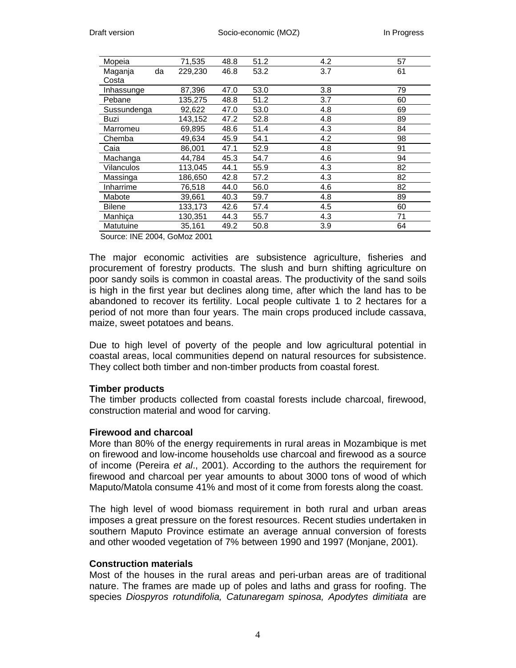| Mopeia        |    | 71,535  | 48.8 | 51.2 | 4.2 | 57 |
|---------------|----|---------|------|------|-----|----|
| Maganja       | da | 229.230 | 46.8 | 53.2 | 3.7 | 61 |
| Costa         |    |         |      |      |     |    |
| Inhassunge    |    | 87,396  | 47.0 | 53.0 | 3.8 | 79 |
| Pebane        |    | 135,275 | 48.8 | 51.2 | 3.7 | 60 |
| Sussundenga   |    | 92,622  | 47.0 | 53.0 | 4.8 | 69 |
| Buzi          |    | 143,152 | 47.2 | 52.8 | 4.8 | 89 |
| Marromeu      |    | 69,895  | 48.6 | 51.4 | 4.3 | 84 |
| Chemba        |    | 49.634  | 45.9 | 54.1 | 4.2 | 98 |
| Caia          |    | 86,001  | 47.1 | 52.9 | 4.8 | 91 |
| Machanga      |    | 44.784  | 45.3 | 54.7 | 4.6 | 94 |
| Vilanculos    |    | 113,045 | 44.1 | 55.9 | 4.3 | 82 |
| Massinga      |    | 186,650 | 42.8 | 57.2 | 4.3 | 82 |
| Inharrime     |    | 76.518  | 44.0 | 56.0 | 4.6 | 82 |
| Mabote        |    | 39.661  | 40.3 | 59.7 | 4.8 | 89 |
| <b>Bilene</b> |    | 133,173 | 42.6 | 57.4 | 4.5 | 60 |
| Manhica       |    | 130,351 | 44.3 | 55.7 | 4.3 | 71 |
| Matutuine     |    | 35,161  | 49.2 | 50.8 | 3.9 | 64 |

Source: INE 2004, GoMoz 2001

The major economic activities are subsistence agriculture, fisheries and procurement of forestry products. The slush and burn shifting agriculture on poor sandy soils is common in coastal areas. The productivity of the sand soils is high in the first year but declines along time, after which the land has to be abandoned to recover its fertility. Local people cultivate 1 to 2 hectares for a period of not more than four years. The main crops produced include cassava, maize, sweet potatoes and beans.

Due to high level of poverty of the people and low agricultural potential in coastal areas, local communities depend on natural resources for subsistence. They collect both timber and non-timber products from coastal forest.

#### **Timber products**

The timber products collected from coastal forests include charcoal, firewood, construction material and wood for carving.

#### **Firewood and charcoal**

More than 80% of the energy requirements in rural areas in Mozambique is met on firewood and low-income households use charcoal and firewood as a source of income (Pereira *et al*., 2001). According to the authors the requirement for firewood and charcoal per year amounts to about 3000 tons of wood of which Maputo/Matola consume 41% and most of it come from forests along the coast.

The high level of wood biomass requirement in both rural and urban areas imposes a great pressure on the forest resources. Recent studies undertaken in southern Maputo Province estimate an average annual conversion of forests and other wooded vegetation of 7% between 1990 and 1997 (Monjane, 2001).

## **Construction materials**

Most of the houses in the rural areas and peri-urban areas are of traditional nature. The frames are made up of poles and laths and grass for roofing. The species *Diospyros rotundifolia, Catunaregam spinosa, Apodytes dimitiata* are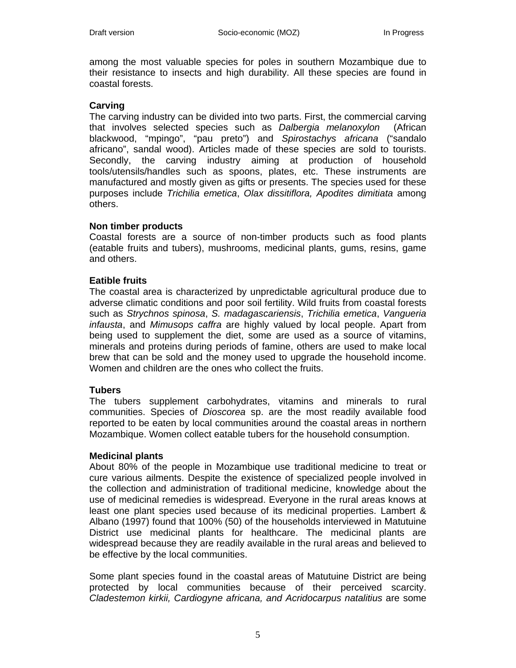among the most valuable species for poles in southern Mozambique due to their resistance to insects and high durability. All these species are found in coastal forests.

#### **Carving**

The carving industry can be divided into two parts. First, the commercial carving that involves selected species such as *Dalbergia melanoxylon* (African blackwood, "mpingo", "pau preto") and *Spirostachys africana* ("sandalo africano", sandal wood). Articles made of these species are sold to tourists. Secondly, the carving industry aiming at production of household tools/utensils/handles such as spoons, plates, etc. These instruments are manufactured and mostly given as gifts or presents. The species used for these purposes include *Trichilia emetica*, *Olax dissitiflora, Apodites dimitiata* among others.

#### **Non timber products**

Coastal forests are a source of non-timber products such as food plants (eatable fruits and tubers), mushrooms, medicinal plants, gums, resins, game and others.

#### **Eatible fruits**

The coastal area is characterized by unpredictable agricultural produce due to adverse climatic conditions and poor soil fertility. Wild fruits from coastal forests such as *Strychnos spinosa*, *S. madagascariensis*, *Trichilia emetica*, *Vangueria infausta*, and *Mimusops caffra* are highly valued by local people. Apart from being used to supplement the diet, some are used as a source of vitamins, minerals and proteins during periods of famine, others are used to make local brew that can be sold and the money used to upgrade the household income. Women and children are the ones who collect the fruits.

#### **Tubers**

The tubers supplement carbohydrates, vitamins and minerals to rural communities. Species of *Dioscorea* sp. are the most readily available food reported to be eaten by local communities around the coastal areas in northern Mozambique. Women collect eatable tubers for the household consumption.

#### **Medicinal plants**

About 80% of the people in Mozambique use traditional medicine to treat or cure various ailments. Despite the existence of specialized people involved in the collection and administration of traditional medicine, knowledge about the use of medicinal remedies is widespread. Everyone in the rural areas knows at least one plant species used because of its medicinal properties. Lambert & Albano (1997) found that 100% (50) of the households interviewed in Matutuine District use medicinal plants for healthcare. The medicinal plants are widespread because they are readily available in the rural areas and believed to be effective by the local communities.

Some plant species found in the coastal areas of Matutuine District are being protected by local communities because of their perceived scarcity. *Cladestemon kirkii, Cardiogyne africana, and Acridocarpus natalitius* are some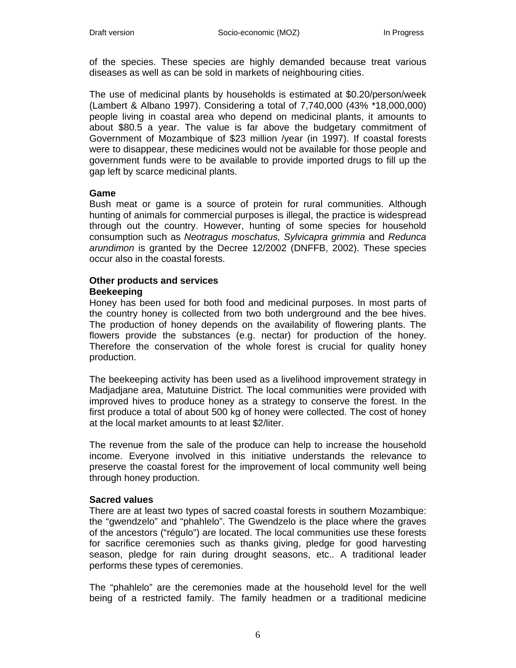of the species. These species are highly demanded because treat various diseases as well as can be sold in markets of neighbouring cities.

The use of medicinal plants by households is estimated at \$0.20/person/week (Lambert & Albano 1997). Considering a total of 7,740,000 (43% \*18,000,000) people living in coastal area who depend on medicinal plants, it amounts to about \$80.5 a year. The value is far above the budgetary commitment of Government of Mozambique of \$23 million /year (in 1997). If coastal forests were to disappear, these medicines would not be available for those people and government funds were to be available to provide imported drugs to fill up the gap left by scarce medicinal plants.

#### **Game**

Bush meat or game is a source of protein for rural communities. Although hunting of animals for commercial purposes is illegal, the practice is widespread through out the country. However, hunting of some species for household consumption such as *Neotragus moschatus, Sylvicapra grimmia* and *Redunca arundimon* is granted by the Decree 12/2002 (DNFFB, 2002). These species occur also in the coastal forests.

#### **Other products and services Beekeeping**

Honey has been used for both food and medicinal purposes. In most parts of the country honey is collected from two both underground and the bee hives. The production of honey depends on the availability of flowering plants. The flowers provide the substances (e.g. nectar) for production of the honey. Therefore the conservation of the whole forest is crucial for quality honey production.

The beekeeping activity has been used as a livelihood improvement strategy in Madjadjane area, Matutuine District. The local communities were provided with improved hives to produce honey as a strategy to conserve the forest. In the first produce a total of about 500 kg of honey were collected. The cost of honey at the local market amounts to at least \$2/liter.

The revenue from the sale of the produce can help to increase the household income. Everyone involved in this initiative understands the relevance to preserve the coastal forest for the improvement of local community well being through honey production.

## **Sacred values**

There are at least two types of sacred coastal forests in southern Mozambique: the "gwendzelo" and "phahlelo". The Gwendzelo is the place where the graves of the ancestors ("régulo") are located. The local communities use these forests for sacrifice ceremonies such as thanks giving, pledge for good harvesting season, pledge for rain during drought seasons, etc.. A traditional leader performs these types of ceremonies.

The "phahlelo" are the ceremonies made at the household level for the well being of a restricted family. The family headmen or a traditional medicine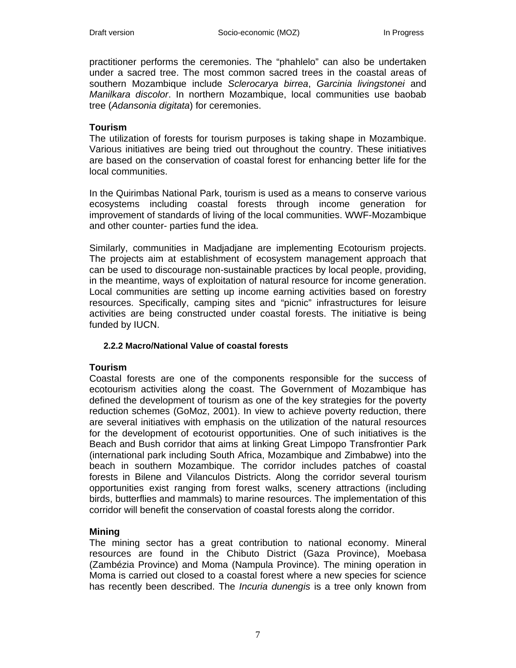practitioner performs the ceremonies. The "phahlelo" can also be undertaken under a sacred tree. The most common sacred trees in the coastal areas of southern Mozambique include *Sclerocarya birrea*, *Garcinia livingstonei* and *Manilkara discolor*. In northern Mozambique, local communities use baobab tree (*Adansonia digitata*) for ceremonies.

## **Tourism**

The utilization of forests for tourism purposes is taking shape in Mozambique. Various initiatives are being tried out throughout the country. These initiatives are based on the conservation of coastal forest for enhancing better life for the local communities.

In the Quirimbas National Park, tourism is used as a means to conserve various ecosystems including coastal forests through income generation for improvement of standards of living of the local communities. WWF-Mozambique and other counter- parties fund the idea.

Similarly, communities in Madjadjane are implementing Ecotourism projects. The projects aim at establishment of ecosystem management approach that can be used to discourage non-sustainable practices by local people, providing, in the meantime, ways of exploitation of natural resource for income generation. Local communities are setting up income earning activities based on forestry resources. Specifically, camping sites and "picnic" infrastructures for leisure activities are being constructed under coastal forests. The initiative is being funded by IUCN.

## **2.2.2 Macro/National Value of coastal forests**

## **Tourism**

Coastal forests are one of the components responsible for the success of ecotourism activities along the coast. The Government of Mozambique has defined the development of tourism as one of the key strategies for the poverty reduction schemes (GoMoz, 2001). In view to achieve poverty reduction, there are several initiatives with emphasis on the utilization of the natural resources for the development of ecotourist opportunities. One of such initiatives is the Beach and Bush corridor that aims at linking Great Limpopo Transfrontier Park (international park including South Africa, Mozambique and Zimbabwe) into the beach in southern Mozambique. The corridor includes patches of coastal forests in Bilene and Vilanculos Districts. Along the corridor several tourism opportunities exist ranging from forest walks, scenery attractions (including birds, butterflies and mammals) to marine resources. The implementation of this corridor will benefit the conservation of coastal forests along the corridor.

## **Mining**

The mining sector has a great contribution to national economy. Mineral resources are found in the Chibuto District (Gaza Province), Moebasa (Zambézia Province) and Moma (Nampula Province). The mining operation in Moma is carried out closed to a coastal forest where a new species for science has recently been described. The *Incuria dunengis* is a tree only known from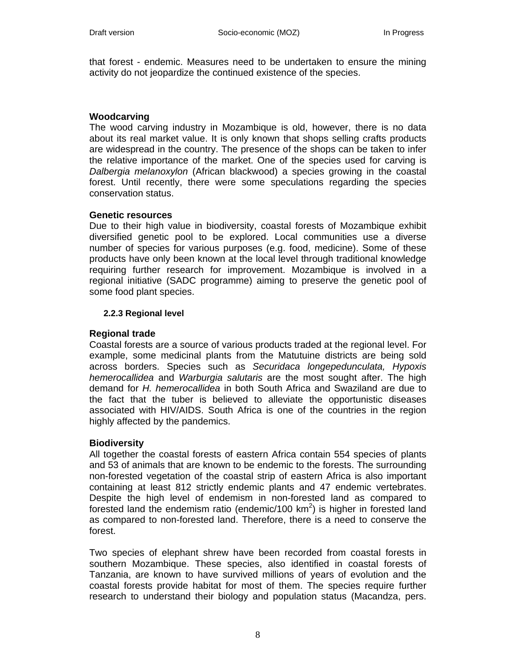that forest - endemic. Measures need to be undertaken to ensure the mining activity do not jeopardize the continued existence of the species.

#### **Woodcarving**

The wood carving industry in Mozambique is old, however, there is no data about its real market value. It is only known that shops selling crafts products are widespread in the country. The presence of the shops can be taken to infer the relative importance of the market. One of the species used for carving is *Dalbergia melanoxylon* (African blackwood) a species growing in the coastal forest. Until recently, there were some speculations regarding the species conservation status.

#### **Genetic resources**

Due to their high value in biodiversity, coastal forests of Mozambique exhibit diversified genetic pool to be explored. Local communities use a diverse number of species for various purposes (e.g. food, medicine). Some of these products have only been known at the local level through traditional knowledge requiring further research for improvement. Mozambique is involved in a regional initiative (SADC programme) aiming to preserve the genetic pool of some food plant species.

#### **2.2.3 Regional level**

#### **Regional trade**

Coastal forests are a source of various products traded at the regional level. For example, some medicinal plants from the Matutuine districts are being sold across borders. Species such as *Securidaca longepedunculata, Hypoxis hemerocallidea* and *Warburgia salutaris* are the most sought after. The high demand for *H. hemerocallidea* in both South Africa and Swaziland are due to the fact that the tuber is believed to alleviate the opportunistic diseases associated with HIV/AIDS. South Africa is one of the countries in the region highly affected by the pandemics.

#### **Biodiversity**

All together the coastal forests of eastern Africa contain 554 species of plants and 53 of animals that are known to be endemic to the forests. The surrounding non-forested vegetation of the coastal strip of eastern Africa is also important containing at least 812 strictly endemic plants and 47 endemic vertebrates. Despite the high level of endemism in non-forested land as compared to forested land the endemism ratio (endemic/100  $km^2$ ) is higher in forested land as compared to non-forested land. Therefore, there is a need to conserve the forest.

Two species of elephant shrew have been recorded from coastal forests in southern Mozambique. These species, also identified in coastal forests of Tanzania, are known to have survived millions of years of evolution and the coastal forests provide habitat for most of them. The species require further research to understand their biology and population status (Macandza, pers.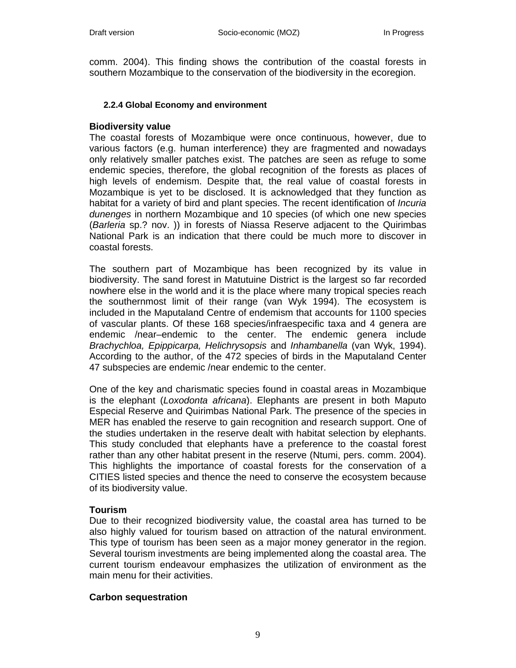comm. 2004). This finding shows the contribution of the coastal forests in southern Mozambique to the conservation of the biodiversity in the ecoregion.

#### **2.2.4 Global Economy and environment**

#### **Biodiversity value**

The coastal forests of Mozambique were once continuous, however, due to various factors (e.g. human interference) they are fragmented and nowadays only relatively smaller patches exist. The patches are seen as refuge to some endemic species, therefore, the global recognition of the forests as places of high levels of endemism. Despite that, the real value of coastal forests in Mozambique is yet to be disclosed. It is acknowledged that they function as habitat for a variety of bird and plant species. The recent identification of *Incuria dunenges* in northern Mozambique and 10 species (of which one new species (*Barleria* sp.? nov. )) in forests of Niassa Reserve adjacent to the Quirimbas National Park is an indication that there could be much more to discover in coastal forests.

The southern part of Mozambique has been recognized by its value in biodiversity. The sand forest in Matutuine District is the largest so far recorded nowhere else in the world and it is the place where many tropical species reach the southernmost limit of their range (van Wyk 1994). The ecosystem is included in the Maputaland Centre of endemism that accounts for 1100 species of vascular plants. Of these 168 species/infraespecific taxa and 4 genera are endemic /near–endemic to the center. The endemic genera include *Brachychloa, Epippicarpa, Helichrysopsis* and *Inhambanella* (van Wyk, 1994). According to the author, of the 472 species of birds in the Maputaland Center 47 subspecies are endemic /near endemic to the center.

One of the key and charismatic species found in coastal areas in Mozambique is the elephant (*Loxodonta africana*). Elephants are present in both Maputo Especial Reserve and Quirimbas National Park. The presence of the species in MER has enabled the reserve to gain recognition and research support. One of the studies undertaken in the reserve dealt with habitat selection by elephants. This study concluded that elephants have a preference to the coastal forest rather than any other habitat present in the reserve (Ntumi, pers. comm. 2004). This highlights the importance of coastal forests for the conservation of a CITIES listed species and thence the need to conserve the ecosystem because of its biodiversity value.

## **Tourism**

Due to their recognized biodiversity value, the coastal area has turned to be also highly valued for tourism based on attraction of the natural environment. This type of tourism has been seen as a major money generator in the region. Several tourism investments are being implemented along the coastal area. The current tourism endeavour emphasizes the utilization of environment as the main menu for their activities.

## **Carbon sequestration**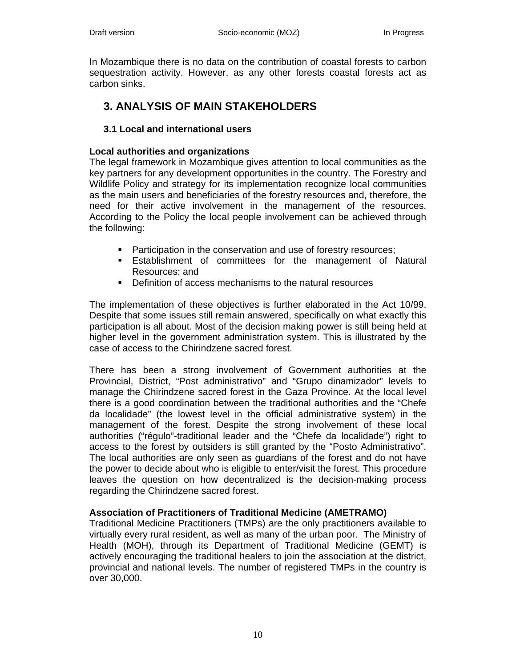In Mozambique there is no data on the contribution of coastal forests to carbon sequestration activity. However, as any other forests coastal forests act as carbon sinks.

# **3. ANALYSIS OF MAIN STAKEHOLDERS**

# **3.1 Local and international users**

## **Local authorities and organizations**

The legal framework in Mozambique gives attention to local communities as the key partners for any development opportunities in the country. The Forestry and Wildlife Policy and strategy for its implementation recognize local communities as the main users and beneficiaries of the forestry resources and, therefore, the need for their active involvement in the management of the resources. According to the Policy the local people involvement can be achieved through the following:

- **Participation in the conservation and use of forestry resources;**
- Establishment of committees for the management of Natural Resources; and
- **•** Definition of access mechanisms to the natural resources

The implementation of these objectives is further elaborated in the Act 10/99. Despite that some issues still remain answered, specifically on what exactly this participation is all about. Most of the decision making power is still being held at higher level in the government administration system. This is illustrated by the case of access to the Chirindzene sacred forest.

There has been a strong involvement of Government authorities at the Provincial, District, "Post administrativo" and "Grupo dinamizador" levels to manage the Chirindzene sacred forest in the Gaza Province. At the local level there is a good coordination between the traditional authorities and the "Chefe da localidade" (the lowest level in the official administrative system) in the management of the forest. Despite the strong involvement of these local authorities ("régulo"-traditional leader and the "Chefe da localidade") right to access to the forest by outsiders is still granted by the "Posto Administrativo". The local authorities are only seen as guardians of the forest and do not have the power to decide about who is eligible to enter/visit the forest. This procedure leaves the question on how decentralized is the decision-making process regarding the Chirindzene sacred forest.

## **Association of Practitioners of Traditional Medicine (AMETRAMO)**

Traditional Medicine Practitioners (TMPs) are the only practitioners available to virtually every rural resident, as well as many of the urban poor. The Ministry of Health (MOH), through its Department of Traditional Medicine (GEMT) is actively encouraging the traditional healers to join the association at the district, provincial and national levels. The number of registered TMPs in the country is over 30,000.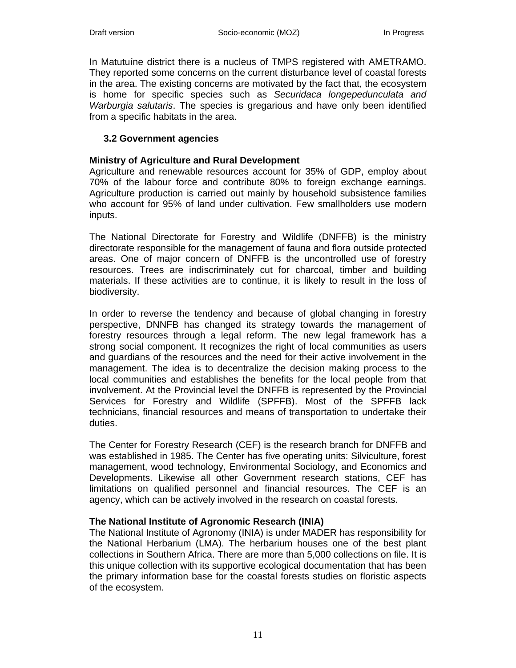In Matutuíne district there is a nucleus of TMPS registered with AMETRAMO. They reported some concerns on the current disturbance level of coastal forests in the area. The existing concerns are motivated by the fact that, the ecosystem is home for specific species such as *Securidaca longepedunculata and Warburgia salutaris*. The species is gregarious and have only been identified from a specific habitats in the area.

## **3.2 Government agencies**

## **Ministry of Agriculture and Rural Development**

Agriculture and renewable resources account for 35% of GDP, employ about 70% of the labour force and contribute 80% to foreign exchange earnings. Agriculture production is carried out mainly by household subsistence families who account for 95% of land under cultivation. Few smallholders use modern inputs.

The National Directorate for Forestry and Wildlife (DNFFB) is the ministry directorate responsible for the management of fauna and flora outside protected areas. One of major concern of DNFFB is the uncontrolled use of forestry resources. Trees are indiscriminately cut for charcoal, timber and building materials. If these activities are to continue, it is likely to result in the loss of biodiversity.

In order to reverse the tendency and because of global changing in forestry perspective, DNNFB has changed its strategy towards the management of forestry resources through a legal reform. The new legal framework has a strong social component. It recognizes the right of local communities as users and guardians of the resources and the need for their active involvement in the management. The idea is to decentralize the decision making process to the local communities and establishes the benefits for the local people from that involvement. At the Provincial level the DNFFB is represented by the Provincial Services for Forestry and Wildlife (SPFFB). Most of the SPFFB lack technicians, financial resources and means of transportation to undertake their duties.

The Center for Forestry Research (CEF) is the research branch for DNFFB and was established in 1985. The Center has five operating units: Silviculture, forest management, wood technology, Environmental Sociology, and Economics and Developments. Likewise all other Government research stations, CEF has limitations on qualified personnel and financial resources. The CEF is an agency, which can be actively involved in the research on coastal forests.

## **The National Institute of Agronomic Research (INIA)**

The National Institute of Agronomy (INIA) is under MADER has responsibility for the National Herbarium (LMA). The herbarium houses one of the best plant collections in Southern Africa. There are more than 5,000 collections on file. It is this unique collection with its supportive ecological documentation that has been the primary information base for the coastal forests studies on floristic aspects of the ecosystem.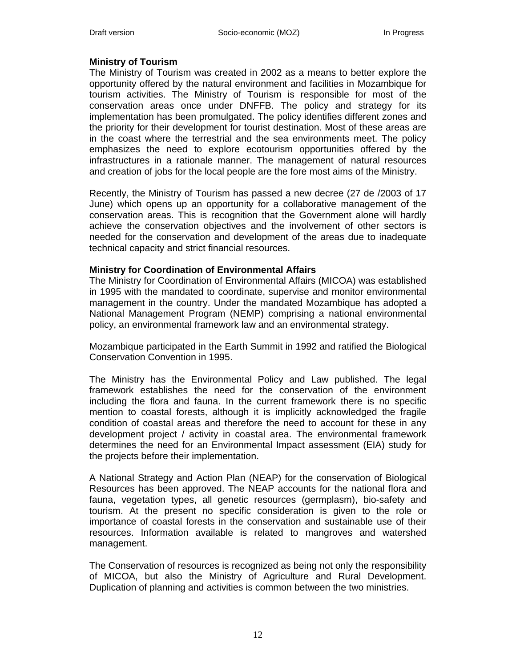## **Ministry of Tourism**

The Ministry of Tourism was created in 2002 as a means to better explore the opportunity offered by the natural environment and facilities in Mozambique for tourism activities. The Ministry of Tourism is responsible for most of the conservation areas once under DNFFB. The policy and strategy for its implementation has been promulgated. The policy identifies different zones and the priority for their development for tourist destination. Most of these areas are in the coast where the terrestrial and the sea environments meet. The policy emphasizes the need to explore ecotourism opportunities offered by the infrastructures in a rationale manner. The management of natural resources and creation of jobs for the local people are the fore most aims of the Ministry.

Recently, the Ministry of Tourism has passed a new decree (27 de /2003 of 17 June) which opens up an opportunity for a collaborative management of the conservation areas. This is recognition that the Government alone will hardly achieve the conservation objectives and the involvement of other sectors is needed for the conservation and development of the areas due to inadequate technical capacity and strict financial resources.

## **Ministry for Coordination of Environmental Affairs**

The Ministry for Coordination of Environmental Affairs (MICOA) was established in 1995 with the mandated to coordinate, supervise and monitor environmental management in the country. Under the mandated Mozambique has adopted a National Management Program (NEMP) comprising a national environmental policy, an environmental framework law and an environmental strategy.

Mozambique participated in the Earth Summit in 1992 and ratified the Biological Conservation Convention in 1995.

The Ministry has the Environmental Policy and Law published. The legal framework establishes the need for the conservation of the environment including the flora and fauna. In the current framework there is no specific mention to coastal forests, although it is implicitly acknowledged the fragile condition of coastal areas and therefore the need to account for these in any development project / activity in coastal area. The environmental framework determines the need for an Environmental Impact assessment (EIA) study for the projects before their implementation.

A National Strategy and Action Plan (NEAP) for the conservation of Biological Resources has been approved. The NEAP accounts for the national flora and fauna, vegetation types, all genetic resources (germplasm), bio-safety and tourism. At the present no specific consideration is given to the role or importance of coastal forests in the conservation and sustainable use of their resources. Information available is related to mangroves and watershed management.

The Conservation of resources is recognized as being not only the responsibility of MICOA, but also the Ministry of Agriculture and Rural Development. Duplication of planning and activities is common between the two ministries.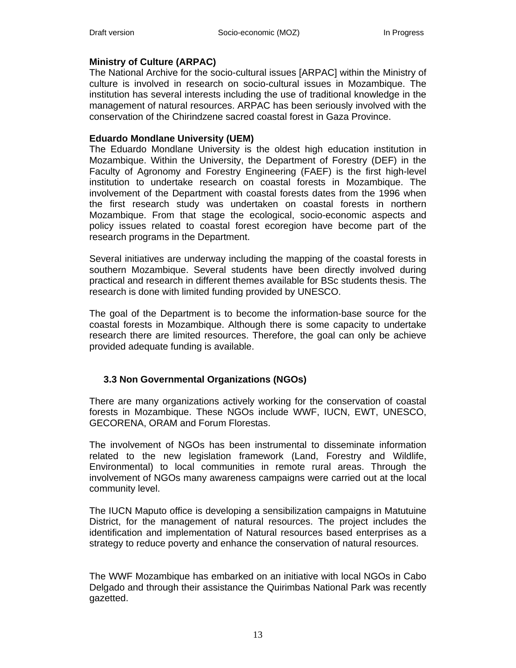## **Ministry of Culture (ARPAC)**

The National Archive for the socio-cultural issues [ARPAC] within the Ministry of culture is involved in research on socio-cultural issues in Mozambique. The institution has several interests including the use of traditional knowledge in the management of natural resources. ARPAC has been seriously involved with the conservation of the Chirindzene sacred coastal forest in Gaza Province.

## **Eduardo Mondlane University (UEM)**

The Eduardo Mondlane University is the oldest high education institution in Mozambique. Within the University, the Department of Forestry (DEF) in the Faculty of Agronomy and Forestry Engineering (FAEF) is the first high-level institution to undertake research on coastal forests in Mozambique. The involvement of the Department with coastal forests dates from the 1996 when the first research study was undertaken on coastal forests in northern Mozambique. From that stage the ecological, socio-economic aspects and policy issues related to coastal forest ecoregion have become part of the research programs in the Department.

Several initiatives are underway including the mapping of the coastal forests in southern Mozambique. Several students have been directly involved during practical and research in different themes available for BSc students thesis. The research is done with limited funding provided by UNESCO.

The goal of the Department is to become the information-base source for the coastal forests in Mozambique. Although there is some capacity to undertake research there are limited resources. Therefore, the goal can only be achieve provided adequate funding is available.

## **3.3 Non Governmental Organizations (NGOs)**

There are many organizations actively working for the conservation of coastal forests in Mozambique. These NGOs include WWF, IUCN, EWT, UNESCO, GECORENA, ORAM and Forum Florestas.

The involvement of NGOs has been instrumental to disseminate information related to the new legislation framework (Land, Forestry and Wildlife, Environmental) to local communities in remote rural areas. Through the involvement of NGOs many awareness campaigns were carried out at the local community level.

The IUCN Maputo office is developing a sensibilization campaigns in Matutuine District, for the management of natural resources. The project includes the identification and implementation of Natural resources based enterprises as a strategy to reduce poverty and enhance the conservation of natural resources.

The WWF Mozambique has embarked on an initiative with local NGOs in Cabo Delgado and through their assistance the Quirimbas National Park was recently gazetted.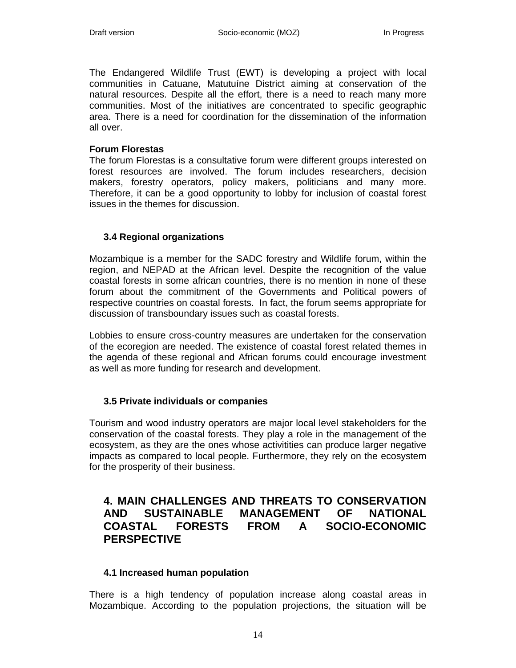The Endangered Wildlife Trust (EWT) is developing a project with local communities in Catuane, Matutuíne District aiming at conservation of the natural resources. Despite all the effort, there is a need to reach many more communities. Most of the initiatives are concentrated to specific geographic area. There is a need for coordination for the dissemination of the information all over.

#### **Forum Florestas**

The forum Florestas is a consultative forum were different groups interested on forest resources are involved. The forum includes researchers, decision makers, forestry operators, policy makers, politicians and many more. Therefore, it can be a good opportunity to lobby for inclusion of coastal forest issues in the themes for discussion.

## **3.4 Regional organizations**

Mozambique is a member for the SADC forestry and Wildlife forum, within the region, and NEPAD at the African level. Despite the recognition of the value coastal forests in some african countries, there is no mention in none of these forum about the commitment of the Governments and Political powers of respective countries on coastal forests. In fact, the forum seems appropriate for discussion of transboundary issues such as coastal forests.

Lobbies to ensure cross-country measures are undertaken for the conservation of the ecoregion are needed. The existence of coastal forest related themes in the agenda of these regional and African forums could encourage investment as well as more funding for research and development.

## **3.5 Private individuals or companies**

Tourism and wood industry operators are major local level stakeholders for the conservation of the coastal forests. They play a role in the management of the ecosystem, as they are the ones whose activitities can produce larger negative impacts as compared to local people. Furthermore, they rely on the ecosystem for the prosperity of their business.

# **4. MAIN CHALLENGES AND THREATS TO CONSERVATION AND SUSTAINABLE MANAGEMENT OF NATIONAL COASTAL FORESTS FROM A SOCIO-ECONOMIC PERSPECTIVE**

## **4.1 Increased human population**

There is a high tendency of population increase along coastal areas in Mozambique. According to the population projections, the situation will be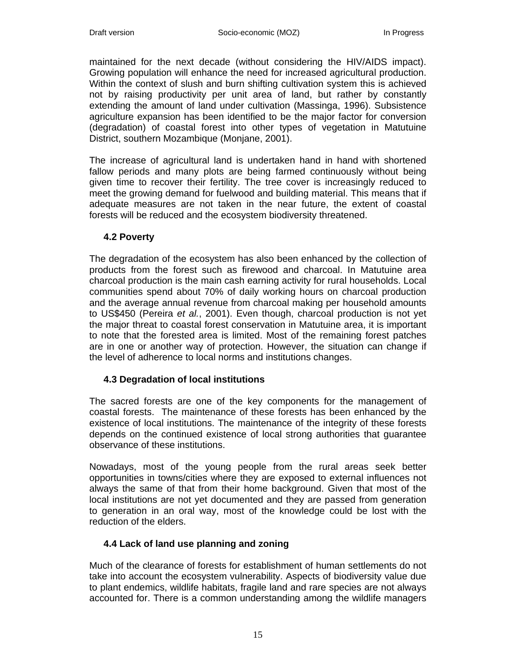maintained for the next decade (without considering the HIV/AIDS impact). Growing population will enhance the need for increased agricultural production. Within the context of slush and burn shifting cultivation system this is achieved not by raising productivity per unit area of land, but rather by constantly extending the amount of land under cultivation (Massinga, 1996). Subsistence agriculture expansion has been identified to be the major factor for conversion (degradation) of coastal forest into other types of vegetation in Matutuine District, southern Mozambique (Monjane, 2001).

The increase of agricultural land is undertaken hand in hand with shortened fallow periods and many plots are being farmed continuously without being given time to recover their fertility. The tree cover is increasingly reduced to meet the growing demand for fuelwood and building material. This means that if adequate measures are not taken in the near future, the extent of coastal forests will be reduced and the ecosystem biodiversity threatened.

## **4.2 Poverty**

The degradation of the ecosystem has also been enhanced by the collection of products from the forest such as firewood and charcoal. In Matutuine area charcoal production is the main cash earning activity for rural households. Local communities spend about 70% of daily working hours on charcoal production and the average annual revenue from charcoal making per household amounts to US\$450 (Pereira *et al.*, 2001). Even though, charcoal production is not yet the major threat to coastal forest conservation in Matutuine area, it is important to note that the forested area is limited. Most of the remaining forest patches are in one or another way of protection. However, the situation can change if the level of adherence to local norms and institutions changes.

# **4.3 Degradation of local institutions**

The sacred forests are one of the key components for the management of coastal forests. The maintenance of these forests has been enhanced by the existence of local institutions. The maintenance of the integrity of these forests depends on the continued existence of local strong authorities that guarantee observance of these institutions.

Nowadays, most of the young people from the rural areas seek better opportunities in towns/cities where they are exposed to external influences not always the same of that from their home background. Given that most of the local institutions are not yet documented and they are passed from generation to generation in an oral way, most of the knowledge could be lost with the reduction of the elders.

# **4.4 Lack of land use planning and zoning**

Much of the clearance of forests for establishment of human settlements do not take into account the ecosystem vulnerability. Aspects of biodiversity value due to plant endemics, wildlife habitats, fragile land and rare species are not always accounted for. There is a common understanding among the wildlife managers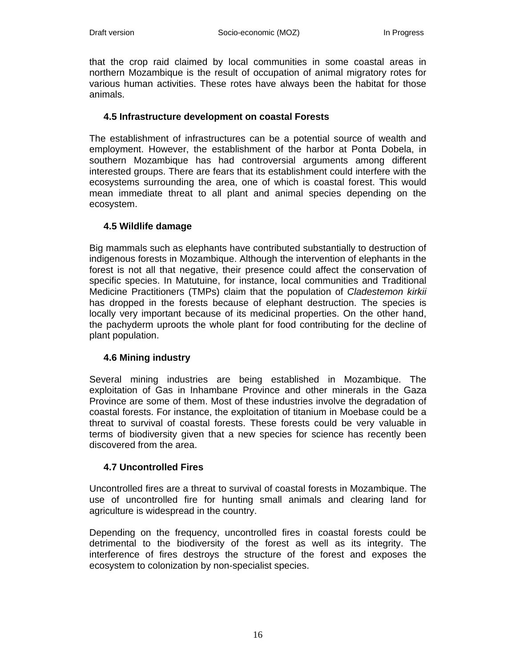that the crop raid claimed by local communities in some coastal areas in northern Mozambique is the result of occupation of animal migratory rotes for various human activities. These rotes have always been the habitat for those animals.

## **4.5 Infrastructure development on coastal Forests**

The establishment of infrastructures can be a potential source of wealth and employment. However, the establishment of the harbor at Ponta Dobela, in southern Mozambique has had controversial arguments among different interested groups. There are fears that its establishment could interfere with the ecosystems surrounding the area, one of which is coastal forest. This would mean immediate threat to all plant and animal species depending on the ecosystem.

# **4.5 Wildlife damage**

Big mammals such as elephants have contributed substantially to destruction of indigenous forests in Mozambique. Although the intervention of elephants in the forest is not all that negative, their presence could affect the conservation of specific species. In Matutuine, for instance, local communities and Traditional Medicine Practitioners (TMPs) claim that the population of *Cladestemon kirkii* has dropped in the forests because of elephant destruction. The species is locally very important because of its medicinal properties. On the other hand, the pachyderm uproots the whole plant for food contributing for the decline of plant population.

# **4.6 Mining industry**

Several mining industries are being established in Mozambique. The exploitation of Gas in Inhambane Province and other minerals in the Gaza Province are some of them. Most of these industries involve the degradation of coastal forests. For instance, the exploitation of titanium in Moebase could be a threat to survival of coastal forests. These forests could be very valuable in terms of biodiversity given that a new species for science has recently been discovered from the area.

## **4.7 Uncontrolled Fires**

Uncontrolled fires are a threat to survival of coastal forests in Mozambique. The use of uncontrolled fire for hunting small animals and clearing land for agriculture is widespread in the country.

Depending on the frequency, uncontrolled fires in coastal forests could be detrimental to the biodiversity of the forest as well as its integrity. The interference of fires destroys the structure of the forest and exposes the ecosystem to colonization by non-specialist species.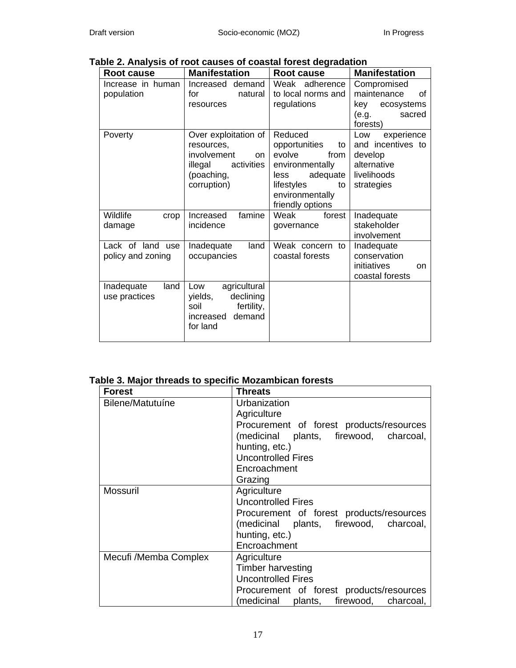| able 2. Analysis of root causes of coastal forest degradation |                                                                                                               |                                                                                                                                                    |                                                                                               |
|---------------------------------------------------------------|---------------------------------------------------------------------------------------------------------------|----------------------------------------------------------------------------------------------------------------------------------------------------|-----------------------------------------------------------------------------------------------|
| Root cause                                                    | <b>Manifestation</b>                                                                                          | <b>Root cause</b>                                                                                                                                  | <b>Manifestation</b>                                                                          |
| Increase in human<br>population                               | Increased<br>demand<br>for<br>natural<br>resources                                                            | Weak<br>adherence<br>to local norms and<br>regulations                                                                                             | Compromised<br>maintenance<br>οf<br>key ecosystems<br>(e.g.<br>sacred<br>forests)             |
| Poverty                                                       | Over exploitation of<br>resources,<br>involvement<br>on<br>activities<br>illegal<br>(poaching,<br>corruption) | Reduced<br>opportunities<br>to<br>evolve<br>from<br>environmentally<br>adequate<br>less<br>lifestyles<br>to<br>environmentally<br>friendly options | experience<br>Low<br>and incentives to<br>develop<br>alternative<br>livelihoods<br>strategies |
| Wildlife<br>crop<br>damage                                    | famine<br>Increased<br>incidence                                                                              | Weak<br>forest<br>governance                                                                                                                       | Inadequate<br>stakeholder<br>involvement                                                      |
| Lack of land use<br>policy and zoning                         | land<br>Inadequate<br>occupancies                                                                             | Weak concern to<br>coastal forests                                                                                                                 | Inadequate<br>conservation<br>initiatives<br>on<br>coastal forests                            |
| Inadequate<br>land<br>use practices                           | agricultural<br>Low<br>declining<br>yields,<br>fertility,<br>soil<br>increased<br>demand<br>for land          |                                                                                                                                                    |                                                                                               |

# **Table 2. Analysis of root causes of coastal forest degradation**

# **Table 3. Major threads to specific Mozambican forests**

| <b>Forest</b>         | <b>Threats</b>                           |
|-----------------------|------------------------------------------|
| Bilene/Matutuíne      | Urbanization                             |
|                       | Agriculture                              |
|                       | Procurement of forest products/resources |
|                       | (medicinal plants, firewood, charcoal,   |
|                       | hunting, etc.)                           |
|                       | <b>Uncontrolled Fires</b>                |
|                       | Encroachment                             |
|                       | Grazing                                  |
| Mossuril              | Agriculture                              |
|                       | <b>Uncontrolled Fires</b>                |
|                       | Procurement of forest products/resources |
|                       | (medicinal plants, firewood, charcoal,   |
|                       | hunting, etc.)                           |
|                       | Encroachment                             |
| Mecufi /Memba Complex | Agriculture                              |
|                       | <b>Timber harvesting</b>                 |
|                       | <b>Uncontrolled Fires</b>                |
|                       | Procurement of forest products/resources |
|                       | (medicinal plants, firewood, charcoal,   |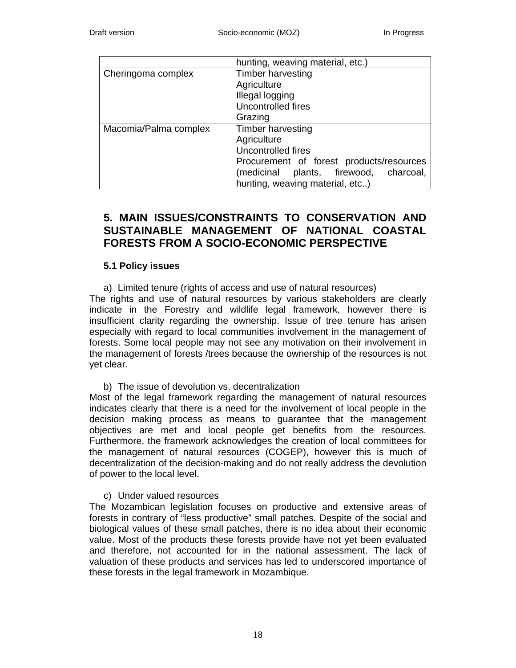|                       | hunting, weaving material, etc.)         |
|-----------------------|------------------------------------------|
| Cheringoma complex    | Timber harvesting                        |
|                       | Agriculture                              |
|                       | Illegal logging                          |
|                       | Uncontrolled fires                       |
|                       | Grazing                                  |
| Macomia/Palma complex | Timber harvesting                        |
|                       | Agriculture                              |
|                       | Uncontrolled fires                       |
|                       | Procurement of forest products/resources |
|                       | (medicinal plants, firewood, charcoal,   |
|                       | hunting, weaving material, etc)          |

# **5. MAIN ISSUES/CONSTRAINTS TO CONSERVATION AND SUSTAINABLE MANAGEMENT OF NATIONAL COASTAL FORESTS FROM A SOCIO-ECONOMIC PERSPECTIVE**

## **5.1 Policy issues**

a) Limited tenure (rights of access and use of natural resources)

The rights and use of natural resources by various stakeholders are clearly indicate in the Forestry and wildlife legal framework, however there is insufficient clarity regarding the ownership. Issue of tree tenure has arisen especially with regard to local communities involvement in the management of forests. Some local people may not see any motivation on their involvement in the management of forests /trees because the ownership of the resources is not yet clear.

## b) The issue of devolution vs. decentralization

Most of the legal framework regarding the management of natural resources indicates clearly that there is a need for the involvement of local people in the decision making process as means to guarantee that the management objectives are met and local people get benefits from the resources. Furthermore, the framework acknowledges the creation of local committees for the management of natural resources (COGEP), however this is much of decentralization of the decision-making and do not really address the devolution of power to the local level.

## c) Under valued resources

The Mozambican legislation focuses on productive and extensive areas of forests in contrary of "less productive" small patches. Despite of the social and biological values of these small patches, there is no idea about their economic value. Most of the products these forests provide have not yet been evaluated and therefore, not accounted for in the national assessment. The lack of valuation of these products and services has led to underscored importance of these forests in the legal framework in Mozambique.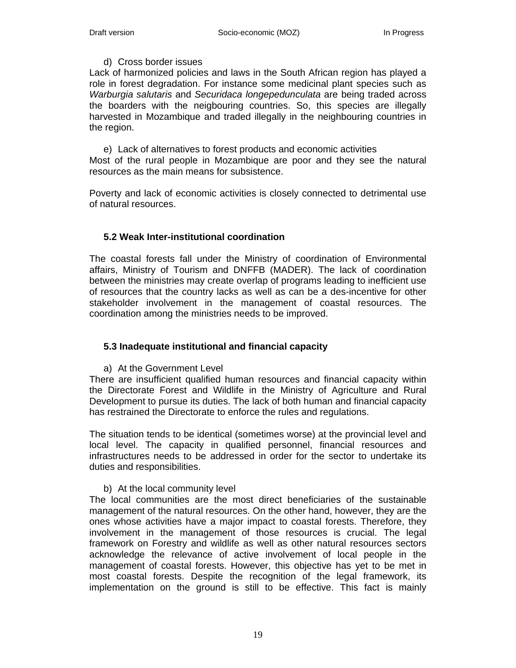## d) Cross border issues

Lack of harmonized policies and laws in the South African region has played a role in forest degradation. For instance some medicinal plant species such as *Warburgia salutaris* and *Securidaca longepedunculata* are being traded across the boarders with the neigbouring countries. So, this species are illegally harvested in Mozambique and traded illegally in the neighbouring countries in the region.

e) Lack of alternatives to forest products and economic activities Most of the rural people in Mozambique are poor and they see the natural resources as the main means for subsistence.

Poverty and lack of economic activities is closely connected to detrimental use of natural resources.

# **5.2 Weak Inter-institutional coordination**

The coastal forests fall under the Ministry of coordination of Environmental affairs, Ministry of Tourism and DNFFB (MADER). The lack of coordination between the ministries may create overlap of programs leading to inefficient use of resources that the country lacks as well as can be a des-incentive for other stakeholder involvement in the management of coastal resources. The coordination among the ministries needs to be improved.

## **5.3 Inadequate institutional and financial capacity**

a) At the Government Level

There are insufficient qualified human resources and financial capacity within the Directorate Forest and Wildlife in the Ministry of Agriculture and Rural Development to pursue its duties. The lack of both human and financial capacity has restrained the Directorate to enforce the rules and regulations.

The situation tends to be identical (sometimes worse) at the provincial level and local level. The capacity in qualified personnel, financial resources and infrastructures needs to be addressed in order for the sector to undertake its duties and responsibilities.

## b) At the local community level

The local communities are the most direct beneficiaries of the sustainable management of the natural resources. On the other hand, however, they are the ones whose activities have a major impact to coastal forests. Therefore, they involvement in the management of those resources is crucial. The legal framework on Forestry and wildlife as well as other natural resources sectors acknowledge the relevance of active involvement of local people in the management of coastal forests. However, this objective has yet to be met in most coastal forests. Despite the recognition of the legal framework, its implementation on the ground is still to be effective. This fact is mainly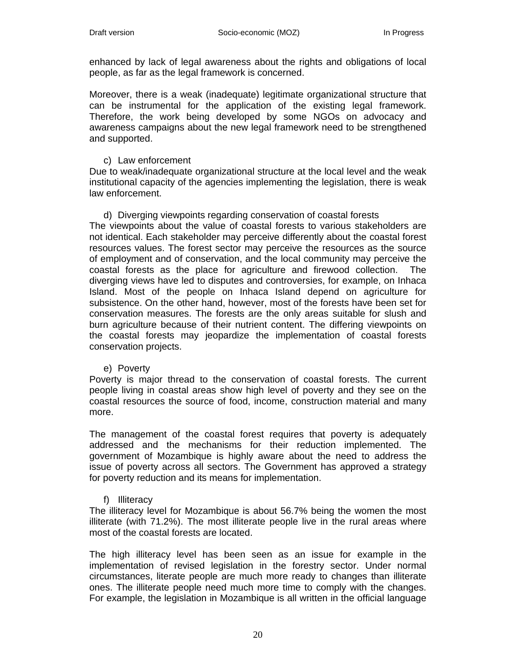enhanced by lack of legal awareness about the rights and obligations of local people, as far as the legal framework is concerned.

Moreover, there is a weak (inadequate) legitimate organizational structure that can be instrumental for the application of the existing legal framework. Therefore, the work being developed by some NGOs on advocacy and awareness campaigns about the new legal framework need to be strengthened and supported.

#### c) Law enforcement

Due to weak/inadequate organizational structure at the local level and the weak institutional capacity of the agencies implementing the legislation, there is weak law enforcement.

# d) Diverging viewpoints regarding conservation of coastal forests

The viewpoints about the value of coastal forests to various stakeholders are not identical. Each stakeholder may perceive differently about the coastal forest resources values. The forest sector may perceive the resources as the source of employment and of conservation, and the local community may perceive the coastal forests as the place for agriculture and firewood collection. The diverging views have led to disputes and controversies, for example, on Inhaca Island. Most of the people on Inhaca Island depend on agriculture for subsistence. On the other hand, however, most of the forests have been set for conservation measures. The forests are the only areas suitable for slush and burn agriculture because of their nutrient content. The differing viewpoints on the coastal forests may jeopardize the implementation of coastal forests conservation projects.

#### e) Poverty

Poverty is major thread to the conservation of coastal forests. The current people living in coastal areas show high level of poverty and they see on the coastal resources the source of food, income, construction material and many more.

The management of the coastal forest requires that poverty is adequately addressed and the mechanisms for their reduction implemented. The government of Mozambique is highly aware about the need to address the issue of poverty across all sectors. The Government has approved a strategy for poverty reduction and its means for implementation.

## f) Illiteracy

The illiteracy level for Mozambique is about 56.7% being the women the most illiterate (with 71.2%). The most illiterate people live in the rural areas where most of the coastal forests are located.

The high illiteracy level has been seen as an issue for example in the implementation of revised legislation in the forestry sector. Under normal circumstances, literate people are much more ready to changes than illiterate ones. The illiterate people need much more time to comply with the changes. For example, the legislation in Mozambique is all written in the official language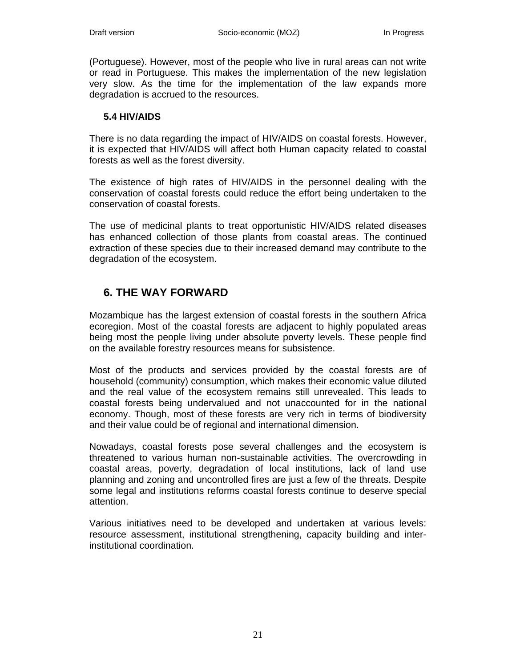(Portuguese). However, most of the people who live in rural areas can not write or read in Portuguese. This makes the implementation of the new legislation very slow. As the time for the implementation of the law expands more degradation is accrued to the resources.

## **5.4 HIV/AIDS**

There is no data regarding the impact of HIV/AIDS on coastal forests. However, it is expected that HIV/AIDS will affect both Human capacity related to coastal forests as well as the forest diversity.

The existence of high rates of HIV/AIDS in the personnel dealing with the conservation of coastal forests could reduce the effort being undertaken to the conservation of coastal forests.

The use of medicinal plants to treat opportunistic HIV/AIDS related diseases has enhanced collection of those plants from coastal areas. The continued extraction of these species due to their increased demand may contribute to the degradation of the ecosystem.

# **6. THE WAY FORWARD**

Mozambique has the largest extension of coastal forests in the southern Africa ecoregion. Most of the coastal forests are adjacent to highly populated areas being most the people living under absolute poverty levels. These people find on the available forestry resources means for subsistence.

Most of the products and services provided by the coastal forests are of household (community) consumption, which makes their economic value diluted and the real value of the ecosystem remains still unrevealed. This leads to coastal forests being undervalued and not unaccounted for in the national economy. Though, most of these forests are very rich in terms of biodiversity and their value could be of regional and international dimension.

Nowadays, coastal forests pose several challenges and the ecosystem is threatened to various human non-sustainable activities. The overcrowding in coastal areas, poverty, degradation of local institutions, lack of land use planning and zoning and uncontrolled fires are just a few of the threats. Despite some legal and institutions reforms coastal forests continue to deserve special attention.

Various initiatives need to be developed and undertaken at various levels: resource assessment, institutional strengthening, capacity building and interinstitutional coordination.